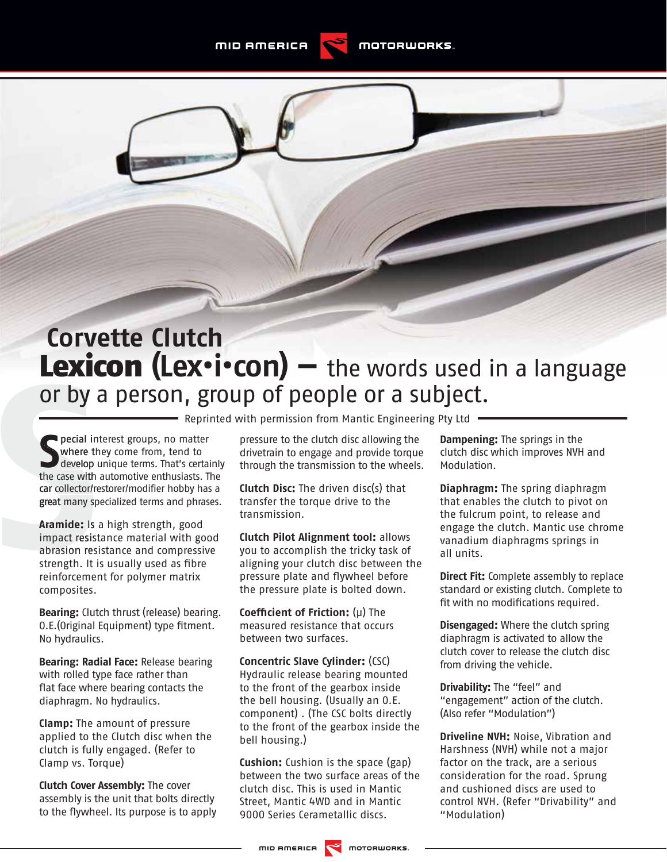## **Corvette Clutch** Lexicon (Lex•i•con) – the words used in a language or by a person, group of people or a subject. **ECOMPLEXTED INTERNATION**<br> **ECOMPLEMATION**<br> **ECOMPLEMATION**<br> **ECOMPLEMATION**<br> **ECOMPLEMATION**<br> **ECOMPLEMATION**<br> **ECOMPLEMATION**<br> **ECOMPLEMATION**<br> **ECOMPLEMATION**<br> **ECOMPLEMATION**<br> **ECOND**<br> **ECOND**<br> **ECOND**<br> **ECOND**<br> **ECOND**

**S** pecial interest groups, no matter<br> **S** where they come from, tend to<br>
develop unique terms. That's certainly<br>
the case with automotive enthusiasts. The pecial interest groups, no matter where they come from, tend to develop unique terms. That's certainly car collector/restorer/modifier hobby has a great many specialized terms and phrases.

**Aramide:** Is a high strength, good impact resistance material with good abrasion resistance and compressive strength. It is usually used as fibre reinforcement for polymer matrix composites.

**Bearing:** Clutch thrust (release) bearing. 0.E. (Original Equipment) type fitment. No hydraulics.

**Bearing: Radial Face:** Release bearing with rolled type face rather than flat face where bearing contacts the diaphragm. No hydraulics.

**Clamp:** The amount of pressure applied to the Clutch disc when the clutch is fully engaged. (Refer to Clamp vs. Torque)

**Clutch Cover Assembly:** The cover assembly is the unit that bolts directly to the flywheel. Its purpose is to apply

pressure to the clutch disc allowing the drivetrain to engage and provide torque through the transmission to the wheels.

**Clutch Disc:** The driven disc(s) that transfer the torque drive to the transmission.

**Clutch Pilot Alignment tool:** allows you to accomplish the tricky task of aligning your clutch disc between the pressure plate and flywheel before the pressure plate is bolted down.

**Coeffi cient of Friction:** (µ) The measured resistance that occurs between two surfaces.

**Concentric Slave Cylinder:** (CSC) Hydraulic release bearing mounted to the front of the gearbox inside the bell housing. (Usually an O.E. component) . (The CSC bolts directly to the front of the gearbox inside the bell housing.)

**Cushion:** Cushion is the space (gap) between the two surface areas of the clutch disc. This is used in Mantic Street, Mantic 4WD and in Mantic 9000 Series Cerametallic discs.

**Dampening:** The springs in the clutch disc which improves NVH and Modulation.

**Diaphragm:** The spring diaphragm that enables the clutch to pivot on the fulcrum point, to release and engage the clutch. Mantic use chrome vanadium diaphragms springs in all units.

**Direct Fit:** Complete assembly to replace standard or existing clutch. Complete to fit with no modifications required.

**Disengaged:** Where the clutch spring diaphragm is activated to allow the clutch cover to release the clutch disc from driving the vehicle.

**Drivability:** The "feel" and "engagement" action of the clutch. (Also refer "Modulation")

**Driveline NVH:** Noise, Vibration and Harshness (NVH) while not a major factor on the track, are a serious consideration for the road. Sprung and cushioned discs are used to control NVH. (Refer "Drivability" and "Modulation)